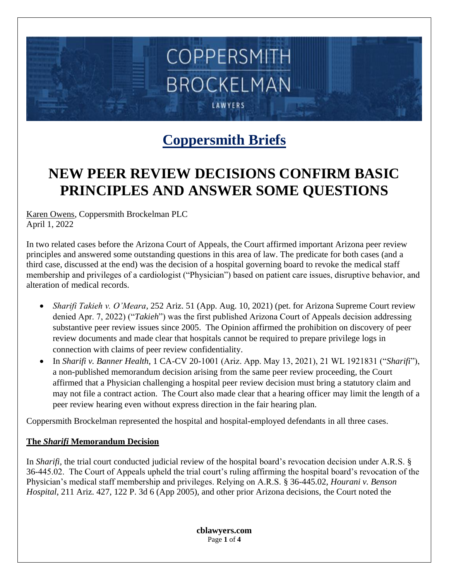### **Coppersmith Briefs**

### **NEW PEER REVIEW DECISIONS CONFIRM BASIC PRINCIPLES AND ANSWER SOME QUESTIONS**

[Karen Owens,](https://www.cblawyers.com/karen-owens/) Coppersmith Brockelman PLC April 1, 2022

In two related cases before the Arizona Court of Appeals, the Court affirmed important Arizona peer review principles and answered some outstanding questions in this area of law. The predicate for both cases (and a third case, discussed at the end) was the decision of a hospital governing board to revoke the medical staff membership and privileges of a cardiologist ("Physician") based on patient care issues, disruptive behavior, and alteration of medical records.

- *Sharifi Takieh v. O'Meara*, 252 Ariz. 51 (App. Aug. 10, 2021) (pet. for Arizona Supreme Court review denied Apr. 7, 2022) ("*Takieh*") was the first published Arizona Court of Appeals decision addressing substantive peer review issues since 2005. The Opinion affirmed the prohibition on discovery of peer review documents and made clear that hospitals cannot be required to prepare privilege logs in connection with claims of peer review confidentiality.
- In *Sharifi v. Banner Health*, 1 CA-CV 20-1001 (Ariz. App. May 13, 2021), 21 WL 1921831 ("*Sharifi*"), a non-published memorandum decision arising from the same peer review proceeding, the Court affirmed that a Physician challenging a hospital peer review decision must bring a statutory claim and may not file a contract action. The Court also made clear that a hearing officer may limit the length of a peer review hearing even without express direction in the fair hearing plan.

Coppersmith Brockelman represented the hospital and hospital-employed defendants in all three cases.

#### **The** *Sharifi* **Memorandum Decision**

In *Sharifi,* the trial court conducted judicial review of the hospital board's revocation decision under A.R.S. § 36-445.02. The Court of Appeals upheld the trial court's ruling affirming the hospital board's revocation of the Physician's medical staff membership and privileges. Relying on A.R.S. § 36-445.02, *Hourani v. Benson Hospital*, 211 Ariz. 427, 122 P. 3d 6 (App 2005), and other prior Arizona decisions, the Court noted the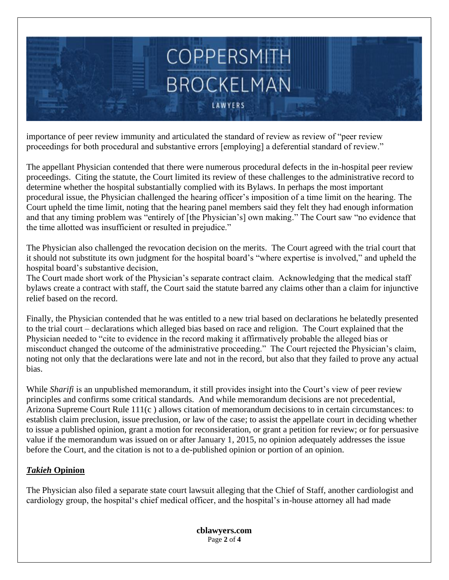importance of peer review immunity and articulated the standard of review as review of "peer review proceedings for both procedural and substantive errors [employing] a deferential standard of review."

The appellant Physician contended that there were numerous procedural defects in the in-hospital peer review proceedings. Citing the statute, the Court limited its review of these challenges to the administrative record to determine whether the hospital substantially complied with its Bylaws. In perhaps the most important procedural issue, the Physician challenged the hearing officer's imposition of a time limit on the hearing. The Court upheld the time limit, noting that the hearing panel members said they felt they had enough information and that any timing problem was "entirely of [the Physician's] own making." The Court saw "no evidence that the time allotted was insufficient or resulted in prejudice."

The Physician also challenged the revocation decision on the merits. The Court agreed with the trial court that it should not substitute its own judgment for the hospital board's "where expertise is involved," and upheld the hospital board's substantive decision,

The Court made short work of the Physician's separate contract claim. Acknowledging that the medical staff bylaws create a contract with staff, the Court said the statute barred any claims other than a claim for injunctive relief based on the record.

Finally, the Physician contended that he was entitled to a new trial based on declarations he belatedly presented to the trial court – declarations which alleged bias based on race and religion. The Court explained that the Physician needed to "cite to evidence in the record making it affirmatively probable the alleged bias or misconduct changed the outcome of the administrative proceeding." The Court rejected the Physician's claim, noting not only that the declarations were late and not in the record, but also that they failed to prove any actual bias.

While *Sharifi* is an unpublished memorandum, it still provides insight into the Court's view of peer review principles and confirms some critical standards. And while memorandum decisions are not precedential, Arizona Supreme Court Rule 111(c ) allows citation of memorandum decisions to in certain circumstances: to establish claim preclusion, issue preclusion, or law of the case; to assist the appellate court in deciding whether to issue a published opinion, grant a motion for reconsideration, or grant a petition for review; or for persuasive value if the memorandum was issued on or after January 1, 2015, no opinion adequately addresses the issue before the Court, and the citation is not to a de-published opinion or portion of an opinion.

#### *Takieh* **Opinion**

The Physician also filed a separate state court lawsuit alleging that the Chief of Staff, another cardiologist and cardiology group, the hospital's chief medical officer, and the hospital's in-house attorney all had made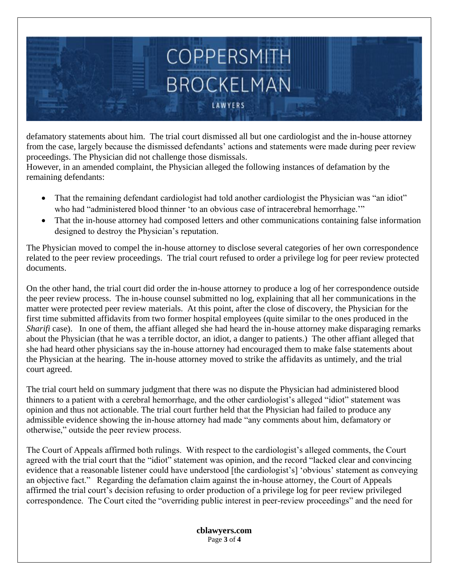defamatory statements about him. The trial court dismissed all but one cardiologist and the in-house attorney from the case, largely because the dismissed defendants' actions and statements were made during peer review proceedings. The Physician did not challenge those dismissals.

However, in an amended complaint, the Physician alleged the following instances of defamation by the remaining defendants:

- That the remaining defendant cardiologist had told another cardiologist the Physician was "an idiot" who had "administered blood thinner 'to an obvious case of intracerebral hemorrhage.'"
- That the in-house attorney had composed letters and other communications containing false information designed to destroy the Physician's reputation.

The Physician moved to compel the in-house attorney to disclose several categories of her own correspondence related to the peer review proceedings. The trial court refused to order a privilege log for peer review protected documents.

On the other hand, the trial court did order the in-house attorney to produce a log of her correspondence outside the peer review process. The in-house counsel submitted no log, explaining that all her communications in the matter were protected peer review materials. At this point, after the close of discovery, the Physician for the first time submitted affidavits from two former hospital employees (quite similar to the ones produced in the *Sharifi* case). In one of them, the affiant alleged she had heard the in-house attorney make disparaging remarks about the Physician (that he was a terrible doctor, an idiot, a danger to patients.) The other affiant alleged that she had heard other physicians say the in-house attorney had encouraged them to make false statements about the Physician at the hearing. The in-house attorney moved to strike the affidavits as untimely, and the trial court agreed.

The trial court held on summary judgment that there was no dispute the Physician had administered blood thinners to a patient with a cerebral hemorrhage, and the other cardiologist's alleged "idiot" statement was opinion and thus not actionable. The trial court further held that the Physician had failed to produce any admissible evidence showing the in-house attorney had made "any comments about him, defamatory or otherwise," outside the peer review process.

The Court of Appeals affirmed both rulings. With respect to the cardiologist's alleged comments, the Court agreed with the trial court that the "idiot" statement was opinion, and the record "lacked clear and convincing evidence that a reasonable listener could have understood [the cardiologist's] 'obvious' statement as conveying an objective fact." Regarding the defamation claim against the in-house attorney, the Court of Appeals affirmed the trial court's decision refusing to order production of a privilege log for peer review privileged correspondence. The Court cited the "overriding public interest in peer-review proceedings" and the need for